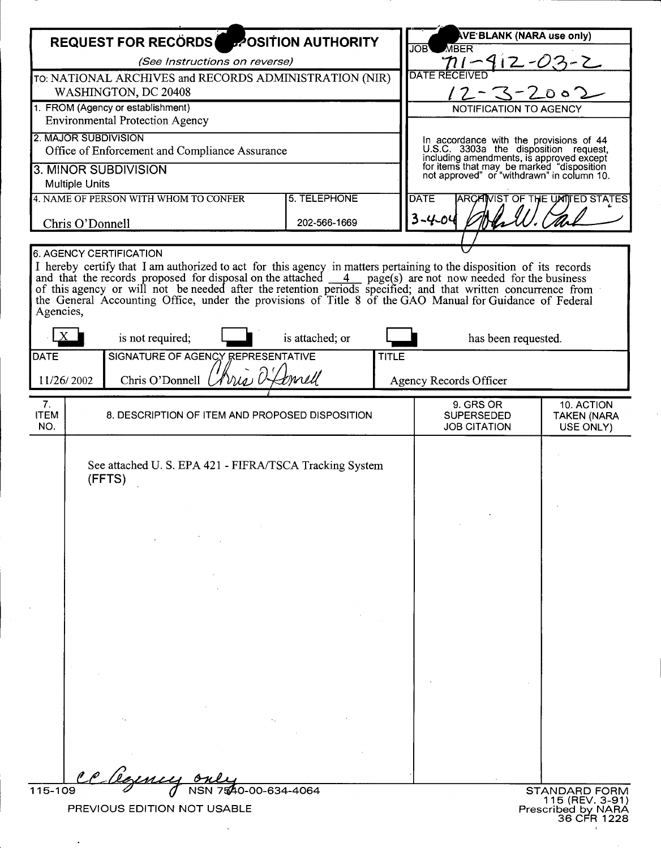----------------------------------------------------------~

| <b>REQUEST FOR RECORDS POSITION AUTHORITY</b>                                                                                                                                                                                                                                                                                                                                                                                                                                                 |                                                                  |                 |                                                                                                                                                                                                                         | <b>IVE BLANK (NARA use only)</b>                      |                                               |
|-----------------------------------------------------------------------------------------------------------------------------------------------------------------------------------------------------------------------------------------------------------------------------------------------------------------------------------------------------------------------------------------------------------------------------------------------------------------------------------------------|------------------------------------------------------------------|-----------------|-------------------------------------------------------------------------------------------------------------------------------------------------------------------------------------------------------------------------|-------------------------------------------------------|-----------------------------------------------|
| (See Instructions on reverse)                                                                                                                                                                                                                                                                                                                                                                                                                                                                 |                                                                  |                 |                                                                                                                                                                                                                         | <b>JOB</b><br><b>MBER</b>                             |                                               |
| TO: NATIONAL ARCHIVES and RECORDS ADMINISTRATION (NIR)                                                                                                                                                                                                                                                                                                                                                                                                                                        |                                                                  |                 |                                                                                                                                                                                                                         | $\eta$ $\sim$ 412-03-2                                |                                               |
| WASHINGTON, DC 20408                                                                                                                                                                                                                                                                                                                                                                                                                                                                          |                                                                  |                 | $12 - 3 - 200$                                                                                                                                                                                                          |                                                       |                                               |
| 1. FROM (Agency or establishment)                                                                                                                                                                                                                                                                                                                                                                                                                                                             |                                                                  |                 | NOTIFICATION TO AGENCY                                                                                                                                                                                                  |                                                       |                                               |
| <b>Environmental Protection Agency</b>                                                                                                                                                                                                                                                                                                                                                                                                                                                        |                                                                  |                 |                                                                                                                                                                                                                         |                                                       |                                               |
| 2. MAJOR SUBDIVISION<br>Office of Enforcement and Compliance Assurance                                                                                                                                                                                                                                                                                                                                                                                                                        |                                                                  |                 | In accordance with the provisions of 44<br>U.S.C. 3303a the disposition request,<br>including amendments, is approved except<br>for items that may be marked "disposition<br>not approved" or "withdrawn" in column 10. |                                                       |                                               |
| 3. MINOR SUBDIVISION                                                                                                                                                                                                                                                                                                                                                                                                                                                                          |                                                                  |                 |                                                                                                                                                                                                                         |                                                       |                                               |
| <b>Multiple Units</b>                                                                                                                                                                                                                                                                                                                                                                                                                                                                         |                                                                  |                 |                                                                                                                                                                                                                         |                                                       |                                               |
| 4. NAME OF PERSON WITH WHOM TO CONFER                                                                                                                                                                                                                                                                                                                                                                                                                                                         |                                                                  | 5. TELEPHONE    |                                                                                                                                                                                                                         | <b>DATE</b>                                           | <b>ARCAINST OF THE UNITED STATES</b>          |
| Chris O'Donnell                                                                                                                                                                                                                                                                                                                                                                                                                                                                               |                                                                  | 202-566-1669    |                                                                                                                                                                                                                         | $3 - 4 - 04$                                          |                                               |
|                                                                                                                                                                                                                                                                                                                                                                                                                                                                                               |                                                                  |                 |                                                                                                                                                                                                                         |                                                       |                                               |
| 6. AGENCY CERTIFICATION                                                                                                                                                                                                                                                                                                                                                                                                                                                                       |                                                                  |                 |                                                                                                                                                                                                                         |                                                       |                                               |
| I hereby certify that I am authorized to act for this agency in matters pertaining to the disposition of its records<br>and that the records proposed for disposal on the attached $\frac{4}{\sqrt{2}}$ page(s) are not now needed for the business<br>of this agency or will not be needed after the retention periods specified; and that written concurrence from<br>the General Accounting Office, under the provisions of Title 8 of the GAO Manual for Guidance of Federal<br>Agencies, |                                                                  |                 |                                                                                                                                                                                                                         |                                                       |                                               |
|                                                                                                                                                                                                                                                                                                                                                                                                                                                                                               | is not required;                                                 | is attached; or |                                                                                                                                                                                                                         | has been requested.                                   |                                               |
| <b>DATE</b>                                                                                                                                                                                                                                                                                                                                                                                                                                                                                   | SIGNATURE OF AGENCY REPRESENTATIVE                               |                 | <b>TITLE</b>                                                                                                                                                                                                            |                                                       |                                               |
| Chris O'Donnell Ulvia<br>tmell<br>11/26/2002                                                                                                                                                                                                                                                                                                                                                                                                                                                  |                                                                  |                 |                                                                                                                                                                                                                         | <b>Agency Records Officer</b>                         |                                               |
|                                                                                                                                                                                                                                                                                                                                                                                                                                                                                               |                                                                  |                 |                                                                                                                                                                                                                         |                                                       |                                               |
| 7.<br><b>ITEM</b><br>NO.                                                                                                                                                                                                                                                                                                                                                                                                                                                                      | 8. DESCRIPTION OF ITEM AND PROPOSED DISPOSITION                  |                 |                                                                                                                                                                                                                         | 9. GRS OR<br><b>SUPERSEDED</b><br><b>JOB CITATION</b> | 10. ACTION<br><b>TAKEN (NARA</b><br>USE ONLY) |
|                                                                                                                                                                                                                                                                                                                                                                                                                                                                                               | See attached U.S. EPA 421 - FIFRA/TSCA Tracking System<br>(FFTS) |                 |                                                                                                                                                                                                                         |                                                       |                                               |
|                                                                                                                                                                                                                                                                                                                                                                                                                                                                                               |                                                                  |                 |                                                                                                                                                                                                                         |                                                       |                                               |
|                                                                                                                                                                                                                                                                                                                                                                                                                                                                                               |                                                                  |                 |                                                                                                                                                                                                                         |                                                       |                                               |
|                                                                                                                                                                                                                                                                                                                                                                                                                                                                                               |                                                                  |                 |                                                                                                                                                                                                                         |                                                       |                                               |
|                                                                                                                                                                                                                                                                                                                                                                                                                                                                                               |                                                                  |                 |                                                                                                                                                                                                                         |                                                       |                                               |
|                                                                                                                                                                                                                                                                                                                                                                                                                                                                                               |                                                                  |                 |                                                                                                                                                                                                                         |                                                       |                                               |
|                                                                                                                                                                                                                                                                                                                                                                                                                                                                                               |                                                                  |                 |                                                                                                                                                                                                                         |                                                       |                                               |
|                                                                                                                                                                                                                                                                                                                                                                                                                                                                                               |                                                                  |                 |                                                                                                                                                                                                                         |                                                       |                                               |
|                                                                                                                                                                                                                                                                                                                                                                                                                                                                                               |                                                                  |                 |                                                                                                                                                                                                                         |                                                       |                                               |
|                                                                                                                                                                                                                                                                                                                                                                                                                                                                                               |                                                                  |                 |                                                                                                                                                                                                                         |                                                       |                                               |
|                                                                                                                                                                                                                                                                                                                                                                                                                                                                                               |                                                                  |                 |                                                                                                                                                                                                                         |                                                       |                                               |
|                                                                                                                                                                                                                                                                                                                                                                                                                                                                                               |                                                                  |                 |                                                                                                                                                                                                                         |                                                       |                                               |
|                                                                                                                                                                                                                                                                                                                                                                                                                                                                                               |                                                                  |                 |                                                                                                                                                                                                                         |                                                       |                                               |
|                                                                                                                                                                                                                                                                                                                                                                                                                                                                                               |                                                                  |                 |                                                                                                                                                                                                                         |                                                       |                                               |
|                                                                                                                                                                                                                                                                                                                                                                                                                                                                                               |                                                                  |                 |                                                                                                                                                                                                                         |                                                       |                                               |
|                                                                                                                                                                                                                                                                                                                                                                                                                                                                                               |                                                                  |                 |                                                                                                                                                                                                                         |                                                       |                                               |
|                                                                                                                                                                                                                                                                                                                                                                                                                                                                                               |                                                                  |                 |                                                                                                                                                                                                                         |                                                       |                                               |
| 115-109<br>7540-00-634-4064<br><b>STANDARD FORM</b><br>115 (REV. 3-91)                                                                                                                                                                                                                                                                                                                                                                                                                        |                                                                  |                 |                                                                                                                                                                                                                         |                                                       |                                               |
| PREVIOUS EDITION NOT USABLE<br>Prescribed by NARA                                                                                                                                                                                                                                                                                                                                                                                                                                             |                                                                  |                 |                                                                                                                                                                                                                         |                                                       |                                               |

 $\cdot$ 

 $\ddot{\phantom{a}}$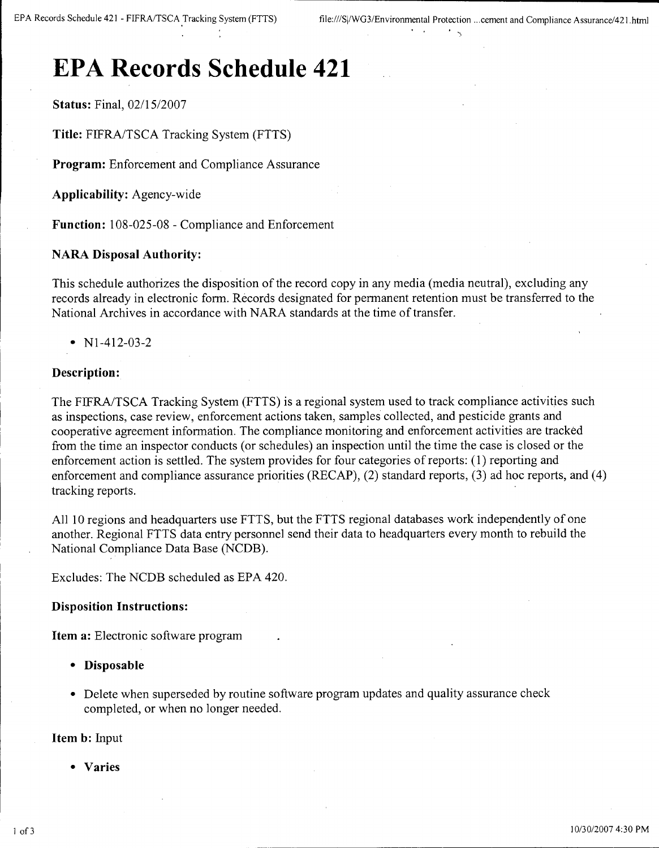# **EPA Records Schedule 421**

**Status:** Final, *02/15/2007*

**Title:** FlFRAJTSCA Tracking System (FTTS)

**Program:** Enforcement and Compliance Assurance

**Applicability:** Agency-wide

**Function:** 108-025-08 - Compliance and Enforcement

### **NARA Disposal Authority:**

This schedule authorizes the disposition of the record copy in any media (media neutral), excluding any records already in electronic form. Records designated for permanent retention must be transferred to the National Archives in accordance with NARA standards at the time of transfer.

• N<sub>1</sub>-412-03-2

## **Description:**

The FlFRAJTSCA Tracking System (FTTS) is a regional system used to track compliance activities such as inspections, case review, enforcement actions taken, samples collected, and pesticide grants and cooperative agreement information. The compliance monitoring and enforcement activities are tracked from the time an inspector conducts (or schedules) an inspection until the time the case is closed or the enforcement action is settled. The system provides for four categories of reports: (1) reporting and enforcement and compliance assurance priorities (RECAP), (2) standard reports, (3) ad hoc reports, and (4) tracking reports.

All 10 regions and headquarters use FTTS, but the FTTS regional databases work independently of one another. Regional FTTS data entry personnel send their data to headquarters every month to rebuild the National Compliance Data Base (NCDB).

Excludes: The NCDB scheduled as EPA 420.

#### **Disposition Instructions:**

**Item a:** Electronic software program

- **Disposable**
- Delete when superseded by routine software program updates and quality assurance check completed, or when no longer needed.

**Item b:** Input

**• Varies**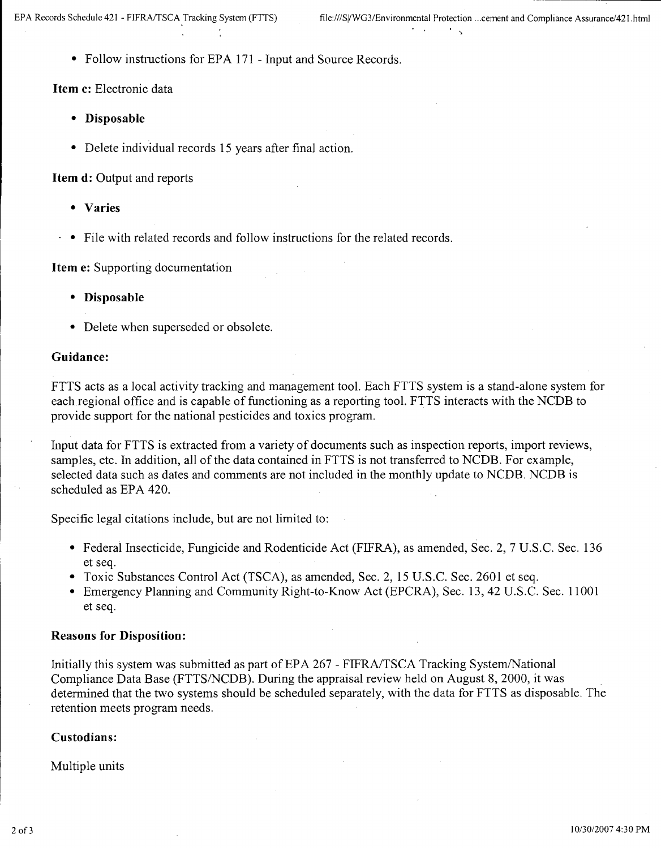• Follow instructions for EPA 171 - Input and Source Records.

**Item c:** Electronic data

- **Disposable**
- Delete individual records 15 years after final action.

**Item d:** Output and reports

- **Varies**
- $\cdot \bullet$  File with related records and follow instructions for the related records.

**Item e:** Supporting documentation

- **Disposable**
- Delete when superseded or obsolete.

#### **Guidance:**

FTTS acts as a local activity tracking and management tool. Each FTTS system is a stand-alone system for each regional office and is capable of functioning as a reporting tool. FTTS interacts with the NCDB to provide support for the national pesticides and toxics program.

Input data for FTTS is extracted from a variety of documents such as inspection reports, import reviews, samples, etc. In addition, all of the data contained in FTTS is not transferred to NCDB. For example, selected data such as dates and comments are not included in the monthly update to NCDB. NCDB is scheduled as EPA 420.

Specific legal citations include, but are not limited to:

- Federal Insecticide, Fungicide and Rodenticide Act (FIFRA), as amended, Sec. 2, 7 U.S.C. Sec. 136 et seq.
- Toxic Substances Control Act (TSCA), as amended, Sec. 2, 15 U.S.C. Sec. 2601 et seq.
- Emergency Planning and Community Right-to-Know Act (EPCRA), Sec. 13, 42 U.S.C. Sec. 11001 et seq.

#### **Reasons for Disposition:**

Initially this system was submitted as part of EPA 267 - FIFRA/TSCA Tracking System/National Compliance Data Base (FTTS/NCDB). During the appraisal review held on August 8, 2000, it was determined that the two systems should be scheduled separately, with the data for FTTS as disposable. The retention meets program needs.

## **Custodians:**

Multiple units